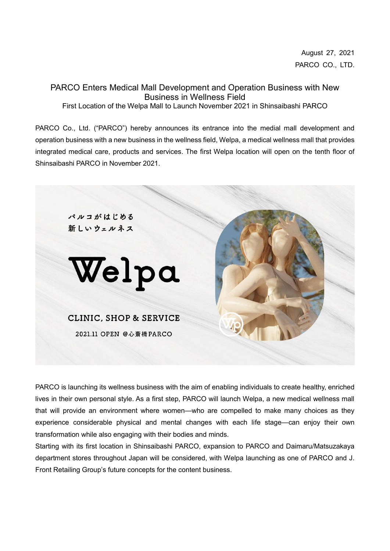August 27, 2021 PARCO CO., LTD.

PARCO Enters Medical Mall Development and Operation Business with New Business in Wellness Field First Location of the Welpa Mall to Launch November 2021 in Shinsaibashi PARCO

PARCO Co., Ltd. ("PARCO") hereby announces its entrance into the medial mall development and operation business with a new business in the wellness field, Welpa, a medical wellness mall that provides integrated medical care, products and services. The first Welpa location will open on the tenth floor of Shinsaibashi PARCO in November 2021.



PARCO is launching its wellness business with the aim of enabling individuals to create healthy, enriched lives in their own personal style. As a first step, PARCO will launch Welpa, a new medical wellness mall that will provide an environment where women—who are compelled to make many choices as they experience considerable physical and mental changes with each life stage—can enjoy their own transformation while also engaging with their bodies and minds.

Starting with its first location in Shinsaibashi PARCO, expansion to PARCO and Daimaru/Matsuzakaya department stores throughout Japan will be considered, with Welpa launching as one of PARCO and J. Front Retailing Group's future concepts for the content business.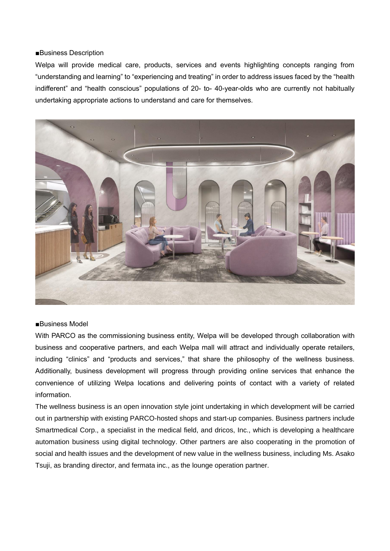## ■Business Description

Welpa will provide medical care, products, services and events highlighting concepts ranging from "understanding and learning" to "experiencing and treating" in order to address issues faced by the "health indifferent" and "health conscious" populations of 20- to- 40-year-olds who are currently not habitually undertaking appropriate actions to understand and care for themselves.



## ■Business Model

With PARCO as the commissioning business entity, Welpa will be developed through collaboration with business and cooperative partners, and each Welpa mall will attract and individually operate retailers, including "clinics" and "products and services," that share the philosophy of the wellness business. Additionally, business development will progress through providing online services that enhance the convenience of utilizing Welpa locations and delivering points of contact with a variety of related information.

The wellness business is an open innovation style joint undertaking in which development will be carried out in partnership with existing PARCO-hosted shops and start-up companies. Business partners include Smartmedical Corp., a specialist in the medical field, and dricos, Inc., which is developing a healthcare automation business using digital technology. Other partners are also cooperating in the promotion of social and health issues and the development of new value in the wellness business, including Ms. Asako Tsuji, as branding director, and fermata inc., as the lounge operation partner.